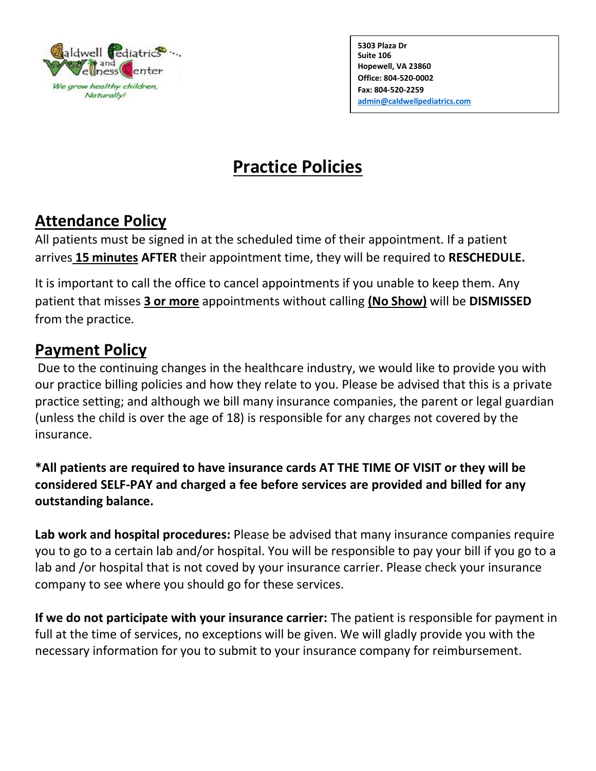

**5303 Plaza Dr Suite 106 Hopewell, VA 23860 Office: 804-520-0002 Fax: 804-520-2259 [admin@caldwellpediatrics.com](mailto:admin@caldwellpediatrics.com)**

**Caldwellpediatrics.com**

## **Practice Policies**

## **Attendance Policy**

All patients must be signed in at the scheduled time of their appointment. If a patient arrives **15 minutes AFTER** their appointment time, they will be required to **RESCHEDULE.**

It is important to call the office to cancel appointments if you unable to keep them. Any patient that misses **3 or more** appointments without calling **(No Show)** will be **DISMISSED** from the practice.

## **Payment Policy**

Due to the continuing changes in the healthcare industry, we would like to provide you with our practice billing policies and how they relate to you. Please be advised that this is a private practice setting; and although we bill many insurance companies, the parent or legal guardian (unless the child is over the age of 18) is responsible for any charges not covered by the insurance.

**\*All patients are required to have insurance cards AT THE TIME OF VISIT or they will be considered SELF-PAY and charged a fee before services are provided and billed for any outstanding balance.**

**Lab work and hospital procedures:** Please be advised that many insurance companies require you to go to a certain lab and/or hospital. You will be responsible to pay your bill if you go to a lab and /or hospital that is not coved by your insurance carrier. Please check your insurance company to see where you should go for these services.

**If we do not participate with your insurance carrier:** The patient is responsible for payment in full at the time of services, no exceptions will be given. We will gladly provide you with the necessary information for you to submit to your insurance company for reimbursement.